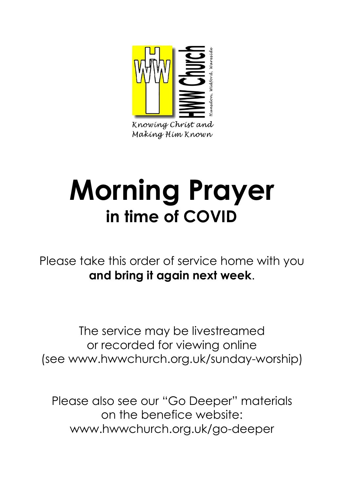

Knowing Christ and Making Him Known

# **Morning Prayer in time of COVID**

Please take this order of service home with you **and bring it again next week**.

The service may be livestreamed or recorded for viewing online (see www.hwwchurch.org.uk/sunday-worship)

Please also see our "Go Deeper" materials on the benefice website: www.hwwchurch.org.uk/go-deeper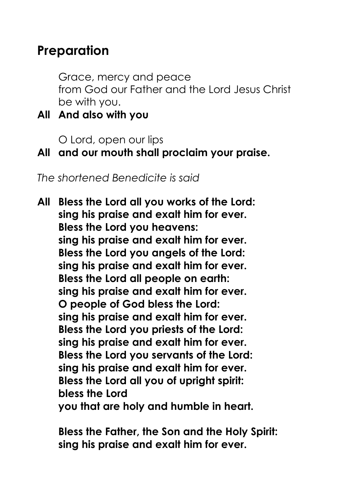# **Preparation**

Grace, mercy and peace from God our Father and the Lord Jesus Christ be with you.

**All And also with you**

O Lord, open our lips

### **All and our mouth shall proclaim your praise.**

*The shortened Benedicite is said*

**All Bless the Lord all you works of the Lord: sing his praise and exalt him for ever. Bless the Lord you heavens: sing his praise and exalt him for ever. Bless the Lord you angels of the Lord: sing his praise and exalt him for ever. Bless the Lord all people on earth: sing his praise and exalt him for ever. O people of God bless the Lord: sing his praise and exalt him for ever. Bless the Lord you priests of the Lord: sing his praise and exalt him for ever. Bless the Lord you servants of the Lord: sing his praise and exalt him for ever. Bless the Lord all you of upright spirit: bless the Lord you that are holy and humble in heart.**

**Bless the Father, the Son and the Holy Spirit: sing his praise and exalt him for ever.**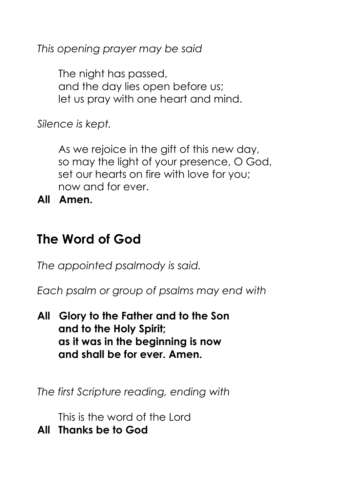*This opening prayer may be said*

The night has passed, and the day lies open before us; let us pray with one heart and mind.

*Silence is kept.*

As we rejoice in the gift of this new day, so may the light of your presence, O God, set our hearts on fire with love for you; now and for ever.

**All Amen.**

# **The Word of God**

*The appointed psalmody is said.*

*Each psalm or group of psalms may end with*

**All Glory to the Father and to the Son and to the Holy Spirit; as it was in the beginning is now and shall be for ever. Amen.**

*The first Scripture reading, ending with*

This is the word of the Lord

**All Thanks be to God**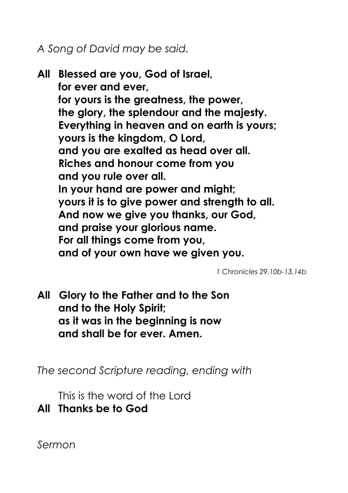*A Song of David may be said.*

**All Blessed are you, God of Israel, for ever and ever, for yours is the greatness, the power, the glory, the splendour and the majesty. Everything in heaven and on earth is yours; yours is the kingdom, O Lord, and you are exalted as head over all. Riches and honour come from you and you rule over all. In your hand are power and might; yours it is to give power and strength to all. And now we give you thanks, our God, and praise your glorious name. For all things come from you, and of your own have we given you.**

*1 Chronicles 29.10b-13,14b*

**All Glory to the Father and to the Son and to the Holy Spirit; as it was in the beginning is now and shall be for ever. Amen.**

*The second Scripture reading, ending with*

This is the word of the Lord

**All Thanks be to God**

*Sermon*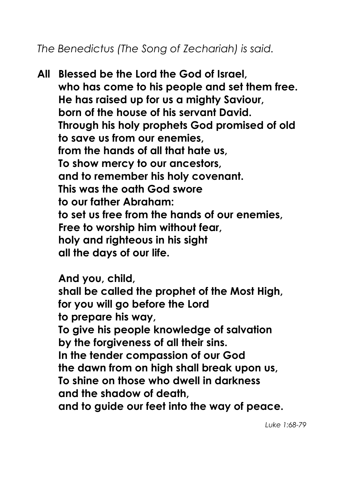*The Benedictus (The Song of Zechariah) is said.*

**All Blessed be the Lord the God of Israel, who has come to his people and set them free. He has raised up for us a mighty Saviour, born of the house of his servant David. Through his holy prophets God promised of old to save us from our enemies, from the hands of all that hate us, To show mercy to our ancestors, and to remember his holy covenant. This was the oath God swore to our father Abraham: to set us free from the hands of our enemies, Free to worship him without fear, holy and righteous in his sight all the days of our life.**

**And you, child, shall be called the prophet of the Most High, for you will go before the Lord to prepare his way, To give his people knowledge of salvation by the forgiveness of all their sins. In the tender compassion of our God the dawn from on high shall break upon us, To shine on those who dwell in darkness and the shadow of death, and to guide our feet into the way of peace.**

*Luke 1:68-79*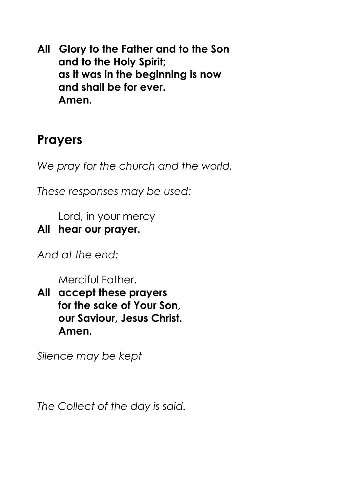**All Glory to the Father and to the Son and to the Holy Spirit; as it was in the beginning is now and shall be for ever. Amen.**

# **Prayers**

*We pray for the church and the world.*

*These responses may be used:*

Lord, in your mercy

#### **All hear our prayer.**

*And at the end:*

Merciful Father,

**All accept these prayers for the sake of Your Son, our Saviour, Jesus Christ. Amen.**

*Silence may be kept*

*The Collect of the day is said.*